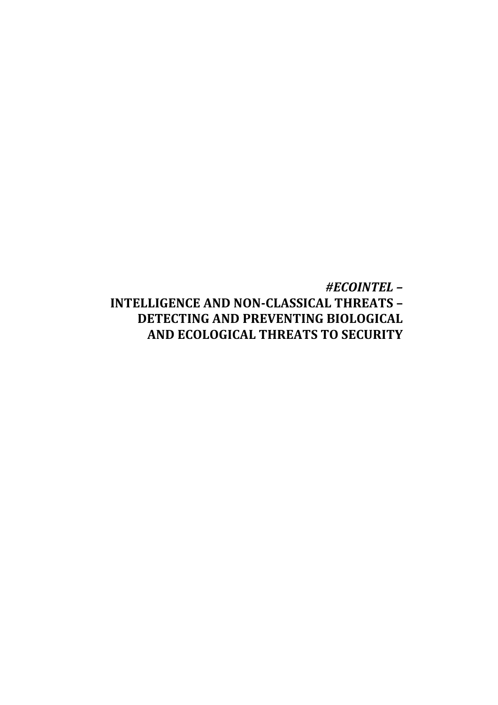# *#ECOINTEL –* **INTELLIGENCE AND NON-CLASSICAL THREATS – DETECTING AND PREVENTING BIOLOGICAL AND ECOLOGICAL THREATS TO SECURITY**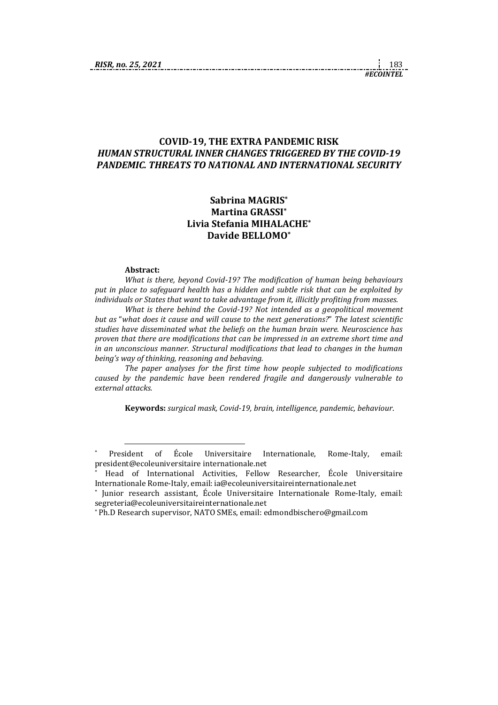#### **COVID-19, THE EXTRA PANDEMIC RISK** *HUMAN STRUCTURAL INNER CHANGES TRIGGERED BY THE COVID-19 PANDEMIC. THREATS TO NATIONAL AND INTERNATIONAL SECURITY*

# **Sabrina MAGRIS\* Martina GRASSI\* Livia Stefania MIHALACHE\* Davide BELLOMO\***

#### **Abstract:**

1

*What is there, beyond Covid-19? The modification of human being behaviours put in place to safeguard health has a hidden and subtle risk that can be exploited by individuals or States that want to take advantage from it, illicitly profiting from masses.*

*What is there behind the Covid-19? Not intended as a geopolitical movement but as* "*what does it cause and will cause to the next generations?*" *The latest scientific studies have disseminated what the beliefs on the human brain were. Neuroscience has proven that there are modifications that can be impressed in an extreme short time and in an unconscious manner. Structural modifications that lead to changes in the human being's way of thinking, reasoning and behaving.*

*The paper analyses for the first time how people subjected to modifications caused by the pandemic have been rendered fragile and dangerously vulnerable to external attacks.*

**Keywords:** *surgical mask, Covid-19, brain, intelligence, pandemic, behaviour*.

<sup>\*</sup> President of École Universitaire Internationale, Rome-Italy, email: president@ecoleuniversitaire internationale.net

<sup>\*</sup> Head of International Activities, Fellow Researcher, École Universitaire Internationale Rome-Italy, email: ia@ecoleuniversitaireinternationale.net

<sup>\*</sup> Junior research assistant, École Universitaire Internationale Rome-Italy, email: segreteria@ecoleuniversitaireinternationale.net

<sup>\*</sup> Ph.D Research supervisor, NATO SMEs, email: edmondbischero@gmail.com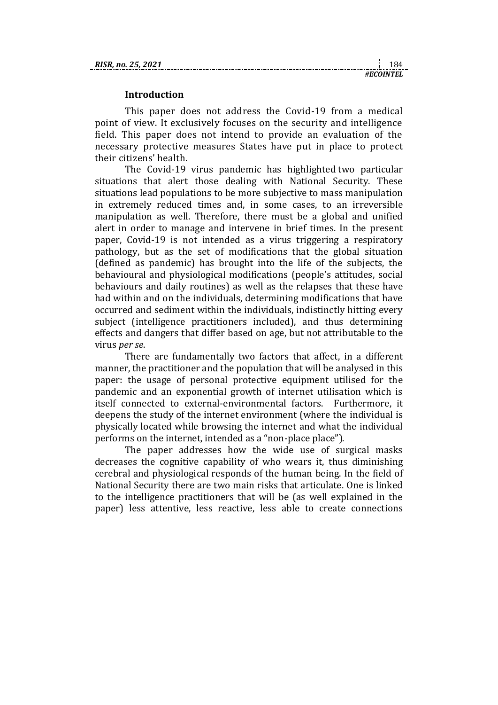### **Introduction**

This paper does not address the Covid-19 from a medical point of view. It exclusively focuses on the security and intelligence field. This paper does not intend to provide an evaluation of the necessary protective measures States have put in place to protect their citizens' health.

The Covid-19 virus pandemic has highlighted two particular situations that alert those dealing with National Security. These situations lead populations to be more subjective to mass manipulation in extremely reduced times and, in some cases, to an irreversible manipulation as well. Therefore, there must be a global and unified alert in order to manage and intervene in brief times. In the present paper, Covid-19 is not intended as a virus triggering a respiratory pathology, but as the set of modifications that the global situation (defined as pandemic) has brought into the life of the subjects, the behavioural and physiological modifications (people's attitudes, social behaviours and daily routines) as well as the relapses that these have had within and on the individuals, determining modifications that have occurred and sediment within the individuals, indistinctly hitting every subject (intelligence practitioners included), and thus determining effects and dangers that differ based on age, but not attributable to the virus *per se*.

There are fundamentally two factors that affect, in a different manner, the practitioner and the population that will be analysed in this paper: the usage of personal protective equipment utilised for the pandemic and an exponential growth of internet utilisation which is itself connected to external-environmental factors. Furthermore, it deepens the study of the internet environment (where the individual is physically located while browsing the internet and what the individual performs on the internet, intended as a "non-place place").

The paper addresses how the wide use of surgical masks decreases the cognitive capability of who wears it, thus diminishing cerebral and physiological responds of the human being. In the field of National Security there are two main risks that articulate. One is linked to the intelligence practitioners that will be (as well explained in the paper) less attentive, less reactive, less able to create connections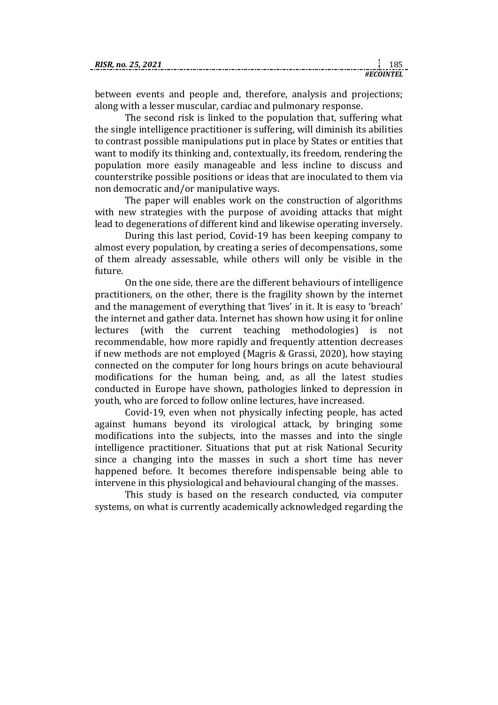| RISR. no. 25. 2021 |  |
|--------------------|--|
|                    |  |

between events and people and, therefore, analysis and projections; along with a lesser muscular, cardiac and pulmonary response.

The second risk is linked to the population that, suffering what the single intelligence practitioner is suffering, will diminish its abilities to contrast possible manipulations put in place by States or entities that want to modify its thinking and, contextually, its freedom, rendering the population more easily manageable and less incline to discuss and counterstrike possible positions or ideas that are inoculated to them via non democratic and/or manipulative ways.

The paper will enables work on the construction of algorithms with new strategies with the purpose of avoiding attacks that might lead to degenerations of different kind and likewise operating inversely.

During this last period, Covid-19 has been keeping company to almost every population, by creating a series of decompensations, some of them already assessable, while others will only be visible in the future.

On the one side, there are the different behaviours of intelligence practitioners, on the other, there is the fragility shown by the internet and the management of everything that 'lives' in it. It is easy to 'breach' the internet and gather data. Internet has shown how using it for online lectures (with the current teaching methodologies) is not recommendable, how more rapidly and frequently attention decreases if new methods are not employed (Magris & Grassi, 2020), how staying connected on the computer for long hours brings on acute behavioural modifications for the human being, and, as all the latest studies conducted in Europe have shown, pathologies linked to depression in youth, who are forced to follow online lectures, have increased.

Covid-19, even when not physically infecting people, has acted against humans beyond its virological attack, by bringing some modifications into the subjects, into the masses and into the single intelligence practitioner. Situations that put at risk National Security since a changing into the masses in such a short time has never happened before. It becomes therefore indispensable being able to intervene in this physiological and behavioural changing of the masses.

This study is based on the research conducted, via computer systems, on what is currently academically acknowledged regarding the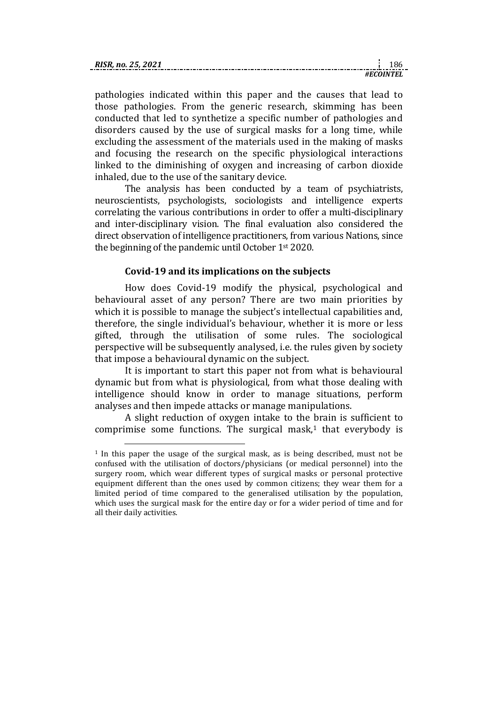| RISR. no. 25, 2021 |  |
|--------------------|--|
|                    |  |

pathologies indicated within this paper and the causes that lead to those pathologies. From the generic research, skimming has been conducted that led to synthetize a specific number of pathologies and disorders caused by the use of surgical masks for a long time, while excluding the assessment of the materials used in the making of masks and focusing the research on the specific physiological interactions linked to the diminishing of oxygen and increasing of carbon dioxide inhaled, due to the use of the sanitary device.

The analysis has been conducted by a team of psychiatrists, neuroscientists, psychologists, sociologists and intelligence experts correlating the various contributions in order to offer a multi-disciplinary and inter-disciplinary vision. The final evaluation also considered the direct observation of intelligence practitioners, from various Nations, since the beginning of the pandemic until October 1st 2020.

# **Covid-19 and its implications on the subjects**

How does Covid-19 modify the physical, psychological and behavioural asset of any person? There are two main priorities by which it is possible to manage the subject's intellectual capabilities and, therefore, the single individual's behaviour, whether it is more or less gifted, through the utilisation of some rules. The sociological perspective will be subsequently analysed, i.e. the rules given by society that impose a behavioural dynamic on the subject.

It is important to start this paper not from what is behavioural dynamic but from what is physiological, from what those dealing with intelligence should know in order to manage situations, perform analyses and then impede attacks or manage manipulations.

A slight reduction of oxygen intake to the brain is sufficient to comprimise some functions. The surgical mask, $1$  that everybody is

1

<sup>1</sup> In this paper the usage of the surgical mask, as is being described, must not be confused with the utilisation of doctors/physicians (or medical personnel) into the surgery room, which wear different types of surgical masks or personal protective equipment different than the ones used by common citizens; they wear them for a limited period of time compared to the generalised utilisation by the population, which uses the surgical mask for the entire day or for a wider period of time and for all their daily activities.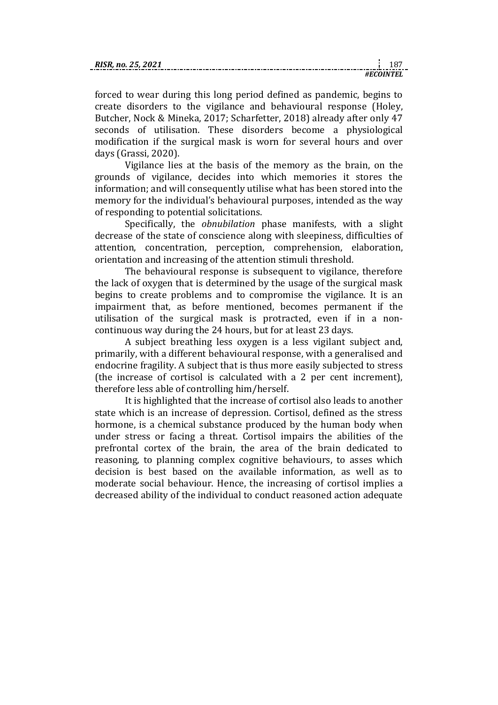| RISR. no. 25, 2021 |  |
|--------------------|--|
|                    |  |

forced to wear during this long period defined as pandemic, begins to create disorders to the vigilance and behavioural response (Holey, Butcher, Nock & Mineka, 2017; Scharfetter, 2018) already after only 47 seconds of utilisation. These disorders become a physiological modification if the surgical mask is worn for several hours and over days (Grassi, 2020).

*#ECOINTEL*

Vigilance lies at the basis of the memory as the brain, on the grounds of vigilance, decides into which memories it stores the information; and will consequently utilise what has been stored into the memory for the individual's behavioural purposes, intended as the way of responding to potential solicitations.

Specifically, the *obnubilation* phase manifests, with a slight decrease of the state of conscience along with sleepiness, difficulties of attention, concentration, perception, comprehension, elaboration, orientation and increasing of the attention stimuli threshold.

The behavioural response is subsequent to vigilance, therefore the lack of oxygen that is determined by the usage of the surgical mask begins to create problems and to compromise the vigilance. It is an impairment that, as before mentioned, becomes permanent if the utilisation of the surgical mask is protracted, even if in a noncontinuous way during the 24 hours, but for at least 23 days.

A subject breathing less oxygen is a less vigilant subject and, primarily, with a different behavioural response, with a generalised and endocrine fragility. A subject that is thus more easily subjected to stress (the increase of cortisol is calculated with a 2 per cent increment), therefore less able of controlling him/herself.

It is highlighted that the increase of cortisol also leads to another state which is an increase of depression. Cortisol, defined as the stress hormone, is a chemical substance produced by the human body when under stress or facing a threat. Cortisol impairs the abilities of the prefrontal cortex of the brain, the area of the brain dedicated to reasoning, to planning complex cognitive behaviours, to asses which decision is best based on the available information, as well as to moderate social behaviour. Hence, the increasing of cortisol implies a decreased ability of the individual to conduct reasoned action adequate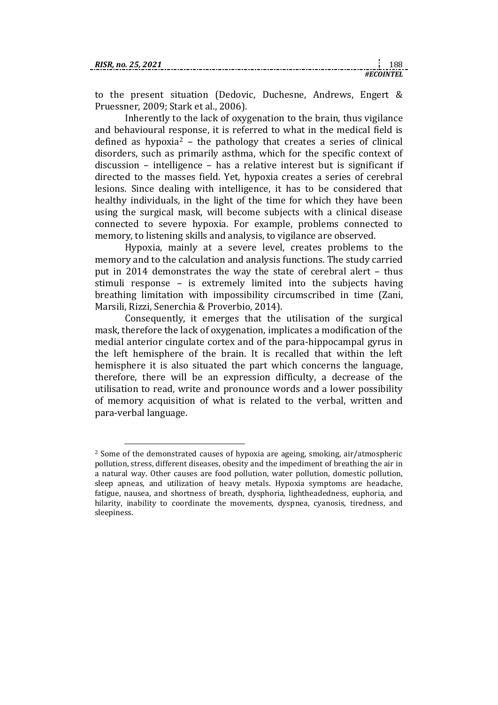1

to the present situation (Dedovic, Duchesne, Andrews, Engert & Pruessner, 2009; Stark et al., 2006).

Inherently to the lack of oxygenation to the brain, thus vigilance and behavioural response, it is referred to what in the medical field is defined as hypoxia<sup>2</sup> – the pathology that creates a series of clinical disorders, such as primarily asthma, which for the specific context of discussion – intelligence – has a relative interest but is significant if directed to the masses field. Yet, hypoxia creates a series of cerebral lesions. Since dealing with intelligence, it has to be considered that healthy individuals, in the light of the time for which they have been using the surgical mask, will become subjects with a clinical disease connected to severe hypoxia. For example, problems connected to memory, to listening skills and analysis, to vigilance are observed.

Hypoxia, mainly at a severe level, creates problems to the memory and to the calculation and analysis functions. The study carried put in 2014 demonstrates the way the state of cerebral alert – thus stimuli response – is extremely limited into the subjects having breathing limitation with impossibility circumscribed in time (Zani, Marsili, Rizzi, Senerchia & Proverbio, 2014).

Consequently, it emerges that the utilisation of the surgical mask, therefore the lack of oxygenation, implicates a modification of the medial anterior cingulate cortex and of the para-hippocampal gyrus in the left hemisphere of the brain. It is recalled that within the left hemisphere it is also situated the part which concerns the language, therefore, there will be an expression difficulty, a decrease of the utilisation to read, write and pronounce words and a lower possibility of memory acquisition of what is related to the verbal, written and para-verbal language.

<sup>2</sup> Some of the demonstrated causes of hypoxia are ageing, smoking, air/atmospheric pollution, stress, different diseases, obesity and the impediment of breathing the air in a natural way. Other causes are food pollution, water pollution, domestic pollution, sleep apneas, and utilization of heavy metals. Hypoxia symptoms are headache, fatigue, nausea, and shortness of breath, dysphoria, lightheadedness, euphoria, and hilarity, inability to coordinate the movements, dyspnea, cyanosis, tiredness, and sleepiness.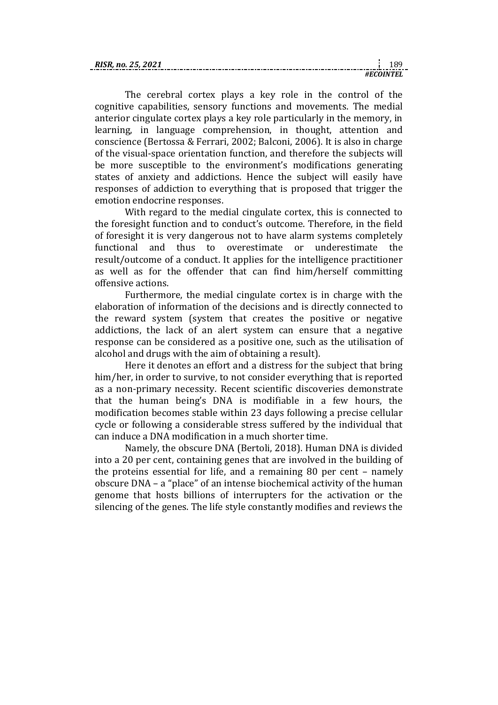| KI. |  |
|-----|--|
|     |  |

The cerebral cortex plays a key role in the control of the cognitive capabilities, sensory functions and movements. The medial anterior cingulate cortex plays a key role particularly in the memory, in learning, in language comprehension, in thought, attention and conscience (Bertossa & Ferrari, 2002; Balconi, 2006). It is also in charge of the visual-space orientation function, and therefore the subjects will be more susceptible to the environment's modifications generating states of anxiety and addictions. Hence the subject will easily have responses of addiction to everything that is proposed that trigger the emotion endocrine responses.

With regard to the medial cingulate cortex, this is connected to the foresight function and to conduct's outcome. Therefore, in the field of foresight it is very dangerous not to have alarm systems completely functional and thus to overestimate or underestimate the result/outcome of a conduct. It applies for the intelligence practitioner as well as for the offender that can find him/herself committing offensive actions.

Furthermore, the medial cingulate cortex is in charge with the elaboration of information of the decisions and is directly connected to the reward system (system that creates the positive or negative addictions, the lack of an alert system can ensure that a negative response can be considered as a positive one, such as the utilisation of alcohol and drugs with the aim of obtaining a result).

Here it denotes an effort and a distress for the subject that bring him/her, in order to survive, to not consider everything that is reported as a non-primary necessity. Recent scientific discoveries demonstrate that the human being's DNA is modifiable in a few hours, the modification becomes stable within 23 days following a precise cellular cycle or following a considerable stress suffered by the individual that can induce a DNA modification in a much shorter time.

Namely, the obscure DNA (Bertoli, 2018). Human DNA is divided into a 20 per cent, containing genes that are involved in the building of the proteins essential for life, and a remaining 80 per cent – namely obscure DNA – a "place" of an intense biochemical activity of the human genome that hosts billions of interrupters for the activation or the silencing of the genes. The life style constantly modifies and reviews the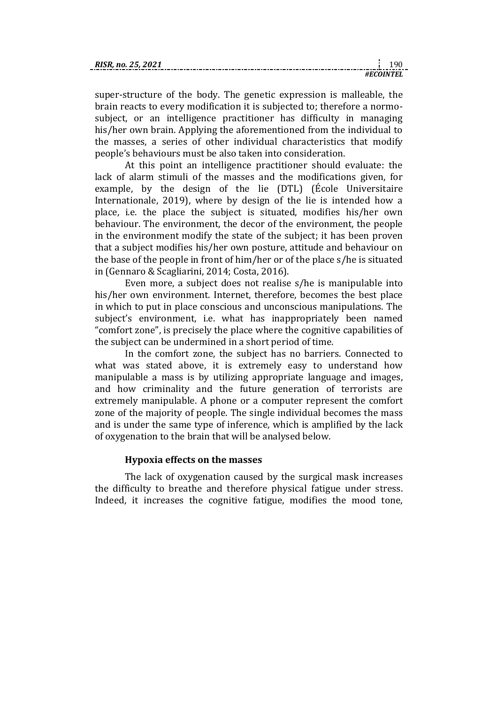| RISR. no. 25, 2021 |  |
|--------------------|--|
|                    |  |

super-structure of the body. The genetic expression is malleable, the brain reacts to every modification it is subjected to; therefore a normosubject, or an intelligence practitioner has difficulty in managing his/her own brain. Applying the aforementioned from the individual to the masses, a series of other individual characteristics that modify people's behaviours must be also taken into consideration.

At this point an intelligence practitioner should evaluate: the lack of alarm stimuli of the masses and the modifications given, for example, by the design of the lie (DTL) (École Universitaire Internationale, 2019), where by design of the lie is intended how a place, i.e. the place the subject is situated, modifies his/her own behaviour. The environment, the decor of the environment, the people in the environment modify the state of the subject; it has been proven that a subject modifies his/her own posture, attitude and behaviour on the base of the people in front of him/her or of the place s/he is situated in (Gennaro & Scagliarini, 2014; Costa, 2016).

Even more, a subject does not realise s/he is manipulable into his/her own environment. Internet, therefore, becomes the best place in which to put in place conscious and unconscious manipulations. The subject's environment, i.e. what has inappropriately been named "comfort zone", is precisely the place where the cognitive capabilities of the subject can be undermined in a short period of time.

In the comfort zone, the subject has no barriers. Connected to what was stated above, it is extremely easy to understand how manipulable a mass is by utilizing appropriate language and images, and how criminality and the future generation of terrorists are extremely manipulable. A phone or a computer represent the comfort zone of the majority of people. The single individual becomes the mass and is under the same type of inference, which is amplified by the lack of oxygenation to the brain that will be analysed below.

### **Hypoxia effects on the masses**

The lack of oxygenation caused by the surgical mask increases the difficulty to breathe and therefore physical fatigue under stress. Indeed, it increases the cognitive fatigue, modifies the mood tone,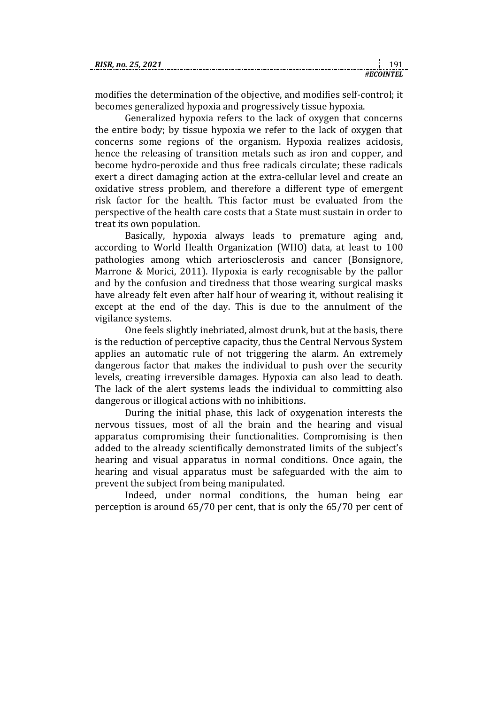| RISR. no. 25, 2021 |       |
|--------------------|-------|
|                    | าเพтғ |

modifies the determination of the objective, and modifies self-control; it becomes generalized hypoxia and progressively tissue hypoxia.

Generalized hypoxia refers to the lack of oxygen that concerns the entire body; by tissue hypoxia we refer to the lack of oxygen that concerns some regions of the organism. Hypoxia realizes acidosis, hence the releasing of transition metals such as iron and copper, and become hydro-peroxide and thus free radicals circulate; these radicals exert a direct damaging action at the extra-cellular level and create an oxidative stress problem, and therefore a different type of emergent risk factor for the health. This factor must be evaluated from the perspective of the health care costs that a State must sustain in order to treat its own population.

Basically, hypoxia always leads to premature aging and, according to World Health Organization (WHO) data, at least to 100 pathologies among which arteriosclerosis and cancer (Bonsignore, Marrone & Morici, 2011). Hypoxia is early recognisable by the pallor and by the confusion and tiredness that those wearing surgical masks have already felt even after half hour of wearing it, without realising it except at the end of the day. This is due to the annulment of the vigilance systems.

One feels slightly inebriated, almost drunk, but at the basis, there is the reduction of perceptive capacity, thus the Central Nervous System applies an automatic rule of not triggering the alarm. An extremely dangerous factor that makes the individual to push over the security levels, creating irreversible damages. Hypoxia can also lead to death. The lack of the alert systems leads the individual to committing also dangerous or illogical actions with no inhibitions.

During the initial phase, this lack of oxygenation interests the nervous tissues, most of all the brain and the hearing and visual apparatus compromising their functionalities. Compromising is then added to the already scientifically demonstrated limits of the subject's hearing and visual apparatus in normal conditions. Once again, the hearing and visual apparatus must be safeguarded with the aim to prevent the subject from being manipulated.

Indeed, under normal conditions, the human being ear perception is around 65/70 per cent, that is only the 65/70 per cent of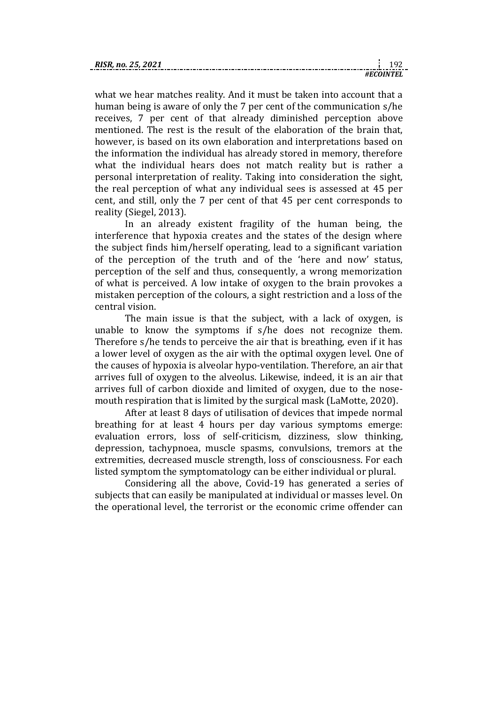| KI. |  |
|-----|--|
|     |  |

what we hear matches reality. And it must be taken into account that a human being is aware of only the 7 per cent of the communication s/he receives, 7 per cent of that already diminished perception above mentioned. The rest is the result of the elaboration of the brain that, however, is based on its own elaboration and interpretations based on the information the individual has already stored in memory, therefore what the individual hears does not match reality but is rather a personal interpretation of reality. Taking into consideration the sight, the real perception of what any individual sees is assessed at 45 per cent, and still, only the 7 per cent of that 45 per cent corresponds to reality (Siegel, 2013).

In an already existent fragility of the human being, the interference that hypoxia creates and the states of the design where the subject finds him/herself operating, lead to a significant variation of the perception of the truth and of the 'here and now' status, perception of the self and thus, consequently, a wrong memorization of what is perceived. A low intake of oxygen to the brain provokes a mistaken perception of the colours, a sight restriction and a loss of the central vision.

The main issue is that the subject, with a lack of oxygen, is unable to know the symptoms if s/he does not recognize them. Therefore s/he tends to perceive the air that is breathing, even if it has a lower level of oxygen as the air with the optimal oxygen level. One of the causes of hypoxia is alveolar hypo-ventilation. Therefore, an air that arrives full of oxygen to the alveolus. Likewise, indeed, it is an air that arrives full of carbon dioxide and limited of oxygen, due to the nosemouth respiration that is limited by the surgical mask (LaMotte, 2020).

After at least 8 days of utilisation of devices that impede normal breathing for at least 4 hours per day various symptoms emerge: evaluation errors, loss of self-criticism, dizziness, slow thinking, depression, tachypnoea, muscle spasms, convulsions, tremors at the extremities, decreased muscle strength, loss of consciousness. For each listed symptom the symptomatology can be either individual or plural.

Considering all the above, Covid-19 has generated a series of subjects that can easily be manipulated at individual or masses level. On the operational level, the terrorist or the economic crime offender can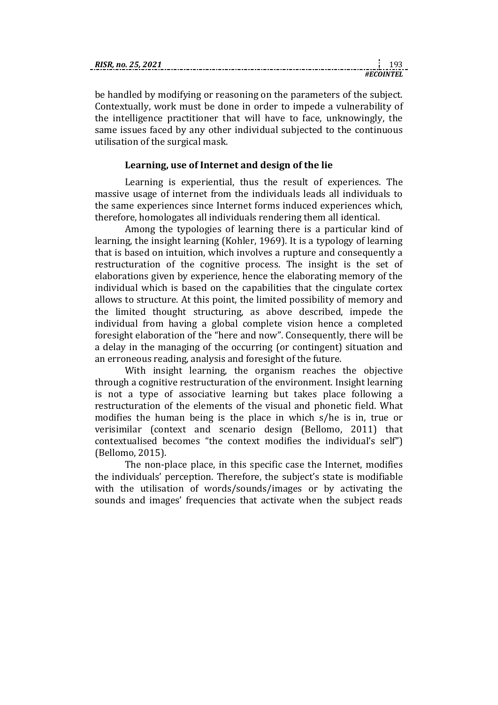| RISR.<br>:. no. 25. 2021 |  |
|--------------------------|--|
|                          |  |

be handled by modifying or reasoning on the parameters of the subject. Contextually, work must be done in order to impede a vulnerability of the intelligence practitioner that will have to face, unknowingly, the same issues faced by any other individual subjected to the continuous utilisation of the surgical mask.

# **Learning, use of Internet and design of the lie**

Learning is experiential, thus the result of experiences. The massive usage of internet from the individuals leads all individuals to the same experiences since Internet forms induced experiences which, therefore, homologates all individuals rendering them all identical.

Among the typologies of learning there is a particular kind of learning, the insight learning (Kohler, 1969). It is a typology of learning that is based on intuition, which involves a rupture and consequently a restructuration of the cognitive process. The insight is the set of elaborations given by experience, hence the elaborating memory of the individual which is based on the capabilities that the cingulate cortex allows to structure. At this point, the limited possibility of memory and the limited thought structuring, as above described, impede the individual from having a global complete vision hence a completed foresight elaboration of the "here and now". Consequently, there will be a delay in the managing of the occurring (or contingent) situation and an erroneous reading, analysis and foresight of the future.

With insight learning, the organism reaches the objective through a cognitive restructuration of the environment. Insight learning is not a type of associative learning but takes place following a restructuration of the elements of the visual and phonetic field. What modifies the human being is the place in which s/he is in, true or verisimilar (context and scenario design (Bellomo, 2011) that contextualised becomes "the context modifies the individual's self") (Bellomo, 2015).

The non-place place, in this specific case the Internet, modifies the individuals' perception. Therefore, the subject's state is modifiable with the utilisation of words/sounds/images or by activating the sounds and images' frequencies that activate when the subject reads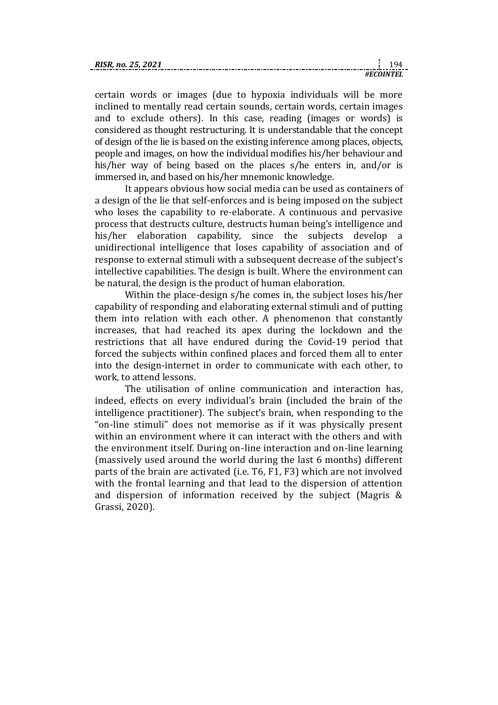| RISR. no. 25, 2021 |  |  |
|--------------------|--|--|
|                    |  |  |

certain words or images (due to hypoxia individuals will be more inclined to mentally read certain sounds, certain words, certain images and to exclude others). In this case, reading (images or words) is considered as thought restructuring. It is understandable that the concept of design of the lie is based on the existing inference among places, objects, people and images, on how the individual modifies his/her behaviour and his/her way of being based on the places s/he enters in, and/or is immersed in, and based on his/her mnemonic knowledge.

It appears obvious how social media can be used as containers of a design of the lie that self-enforces and is being imposed on the subject who loses the capability to re-elaborate. A continuous and pervasive process that destructs culture, destructs human being's intelligence and his/her elaboration capability, since the subjects develop a unidirectional intelligence that loses capability of association and of response to external stimuli with a subsequent decrease of the subject's intellective capabilities. The design is built. Where the environment can be natural, the design is the product of human elaboration.

Within the place-design s/he comes in, the subject loses his/her capability of responding and elaborating external stimuli and of putting them into relation with each other. A phenomenon that constantly increases, that had reached its apex during the lockdown and the restrictions that all have endured during the Covid-19 period that forced the subjects within confined places and forced them all to enter into the design-internet in order to communicate with each other, to work, to attend lessons.

The utilisation of online communication and interaction has, indeed, effects on every individual's brain (included the brain of the intelligence practitioner). The subject's brain, when responding to the "on-line stimuli" does not memorise as if it was physically present within an environment where it can interact with the others and with the environment itself. During on-line interaction and on-line learning (massively used around the world during the last 6 months) different parts of the brain are activated (i.e. T6, F1, F3) which are not involved with the frontal learning and that lead to the dispersion of attention and dispersion of information received by the subject (Magris & Grassi, 2020).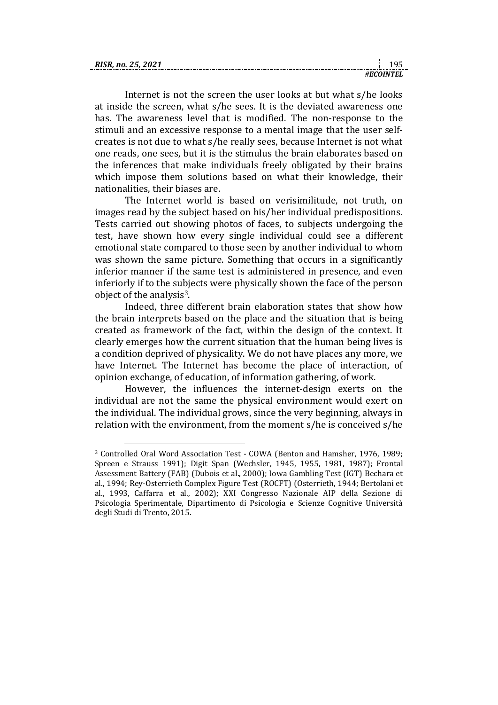| .R. no. 25. ^<br><b>RIS</b> |  |
|-----------------------------|--|
|                             |  |

Internet is not the screen the user looks at but what s/he looks at inside the screen, what s/he sees. It is the deviated awareness one has. The awareness level that is modified. The non-response to the stimuli and an excessive response to a mental image that the user selfcreates is not due to what s/he really sees, because Internet is not what one reads, one sees, but it is the stimulus the brain elaborates based on the inferences that make individuals freely obligated by their brains which impose them solutions based on what their knowledge, their nationalities, their biases are.

The Internet world is based on verisimilitude, not truth, on images read by the subject based on his/her individual predispositions. Tests carried out showing photos of faces, to subjects undergoing the test, have shown how every single individual could see a different emotional state compared to those seen by another individual to whom was shown the same picture. Something that occurs in a significantly inferior manner if the same test is administered in presence, and even inferiorly if to the subjects were physically shown the face of the person object of the analysis3.

Indeed, three different brain elaboration states that show how the brain interprets based on the place and the situation that is being created as framework of the fact, within the design of the context. It clearly emerges how the current situation that the human being lives is a condition deprived of physicality. We do not have places any more, we have Internet. The Internet has become the place of interaction, of opinion exchange, of education, of information gathering, of work.

However, the influences the internet-design exerts on the individual are not the same the physical environment would exert on the individual. The individual grows, since the very beginning, always in relation with the environment, from the moment s/he is conceived s/he

1

<sup>3</sup> Controlled Oral Word Association Test - COWA (Benton and Hamsher, 1976, 1989; Spreen e Strauss 1991); Digit Span (Wechsler, 1945, 1955, 1981, 1987); Frontal Assessment Battery (FAB) (Dubois et al., 2000); Iowa Gambling Test (IGT) Bechara et al., 1994; Rey-Osterrieth Complex Figure Test (ROCFT) (Osterrieth, 1944; Bertolani et al., 1993, Caffarra et al., 2002); XXI Congresso Nazionale AIP della Sezione di Psicologia Sperimentale, Dipartimento di Psicologia e Scienze Cognitive Università degli Studi di Trento, 2015.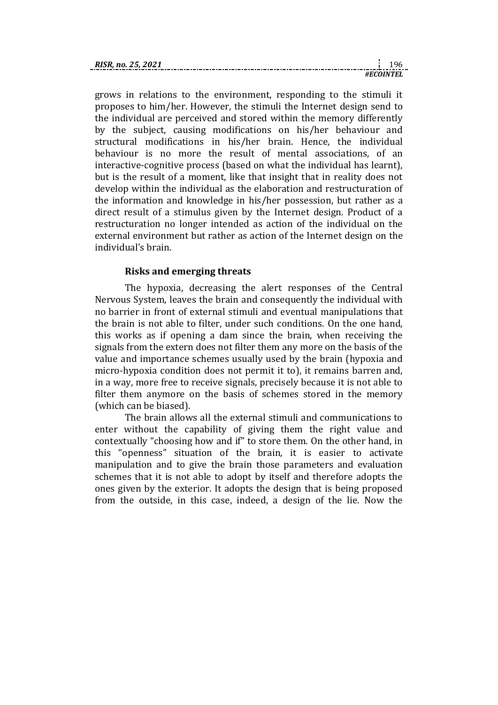| <b>RISR</b><br>no. 25. |  |
|------------------------|--|
|                        |  |

grows in relations to the environment, responding to the stimuli it proposes to him/her. However, the stimuli the Internet design send to the individual are perceived and stored within the memory differently by the subject, causing modifications on his/her behaviour and structural modifications in his/her brain. Hence, the individual behaviour is no more the result of mental associations, of an interactive-cognitive process (based on what the individual has learnt), but is the result of a moment, like that insight that in reality does not develop within the individual as the elaboration and restructuration of the information and knowledge in his/her possession, but rather as a direct result of a stimulus given by the Internet design. Product of a restructuration no longer intended as action of the individual on the external environment but rather as action of the Internet design on the individual's brain.

### **Risks and emerging threats**

The hypoxia, decreasing the alert responses of the Central Nervous System, leaves the brain and consequently the individual with no barrier in front of external stimuli and eventual manipulations that the brain is not able to filter, under such conditions. On the one hand, this works as if opening a dam since the brain, when receiving the signals from the extern does not filter them any more on the basis of the value and importance schemes usually used by the brain (hypoxia and micro-hypoxia condition does not permit it to), it remains barren and, in a way, more free to receive signals, precisely because it is not able to filter them anymore on the basis of schemes stored in the memory (which can be biased).

The brain allows all the external stimuli and communications to enter without the capability of giving them the right value and contextually "choosing how and if" to store them. On the other hand, in this "openness" situation of the brain, it is easier to activate manipulation and to give the brain those parameters and evaluation schemes that it is not able to adopt by itself and therefore adopts the ones given by the exterior. It adopts the design that is being proposed from the outside, in this case, indeed, a design of the lie. Now the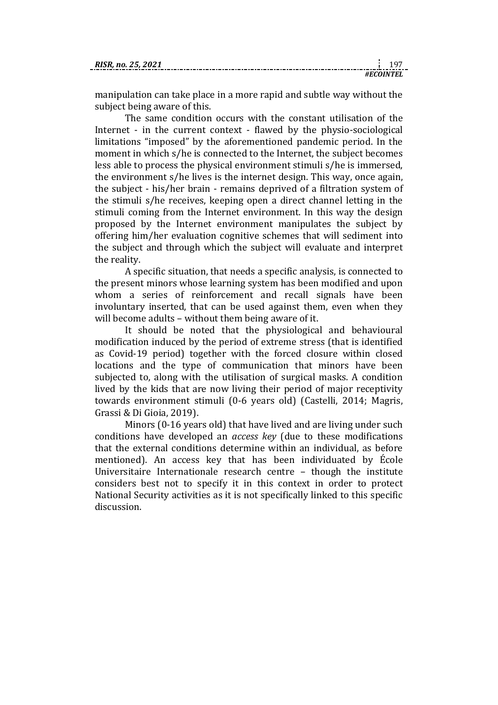*#ECOINTEL*

manipulation can take place in a more rapid and subtle way without the subject being aware of this.

The same condition occurs with the constant utilisation of the Internet - in the current context - flawed by the physio-sociological limitations "imposed" by the aforementioned pandemic period. In the moment in which s/he is connected to the Internet, the subject becomes less able to process the physical environment stimuli s/he is immersed, the environment s/he lives is the internet design. This way, once again, the subject - his/her brain - remains deprived of a filtration system of the stimuli s/he receives, keeping open a direct channel letting in the stimuli coming from the Internet environment. In this way the design proposed by the Internet environment manipulates the subject by offering him/her evaluation cognitive schemes that will sediment into the subject and through which the subject will evaluate and interpret the reality.

A specific situation, that needs a specific analysis, is connected to the present minors whose learning system has been modified and upon whom a series of reinforcement and recall signals have been involuntary inserted, that can be used against them, even when they will become adults – without them being aware of it.

It should be noted that the physiological and behavioural modification induced by the period of extreme stress (that is identified as Covid-19 period) together with the forced closure within closed locations and the type of communication that minors have been subjected to, along with the utilisation of surgical masks. A condition lived by the kids that are now living their period of major receptivity towards environment stimuli (0-6 years old) (Castelli, 2014; Magris, Grassi & Di Gioia, 2019).

Minors (0-16 years old) that have lived and are living under such conditions have developed an *access key* (due to these modifications that the external conditions determine within an individual, as before mentioned). An access key that has been individuated by École Universitaire Internationale research centre – though the institute considers best not to specify it in this context in order to protect National Security activities as it is not specifically linked to this specific discussion.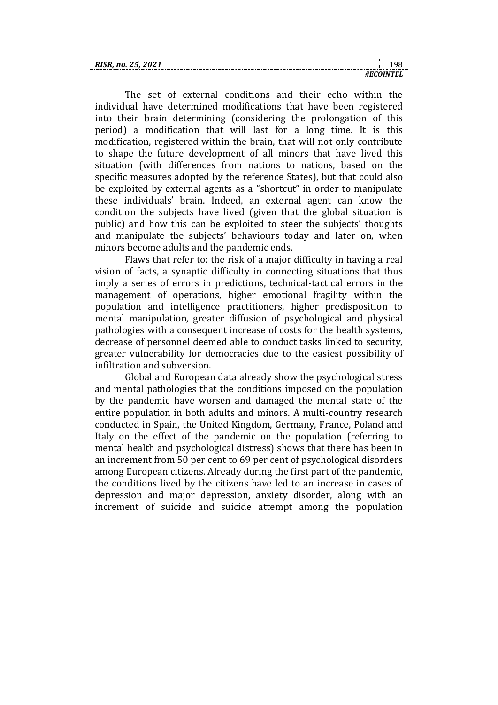| RISR |  |
|------|--|
|      |  |

The set of external conditions and their echo within the individual have determined modifications that have been registered into their brain determining (considering the prolongation of this period) a modification that will last for a long time. It is this modification, registered within the brain, that will not only contribute to shape the future development of all minors that have lived this situation (with differences from nations to nations, based on the specific measures adopted by the reference States), but that could also be exploited by external agents as a "shortcut" in order to manipulate these individuals' brain. Indeed, an external agent can know the condition the subjects have lived (given that the global situation is public) and how this can be exploited to steer the subjects' thoughts and manipulate the subjects' behaviours today and later on, when minors become adults and the pandemic ends.

Flaws that refer to: the risk of a major difficulty in having a real vision of facts, a synaptic difficulty in connecting situations that thus imply a series of errors in predictions, technical-tactical errors in the management of operations, higher emotional fragility within the population and intelligence practitioners, higher predisposition to mental manipulation, greater diffusion of psychological and physical pathologies with a consequent increase of costs for the health systems, decrease of personnel deemed able to conduct tasks linked to security, greater vulnerability for democracies due to the easiest possibility of infiltration and subversion.

Global and European data already show the psychological stress and mental pathologies that the conditions imposed on the population by the pandemic have worsen and damaged the mental state of the entire population in both adults and minors. A multi-country research conducted in Spain, the United Kingdom, Germany, France, Poland and Italy on the effect of the pandemic on the population (referring to mental health and psychological distress) shows that there has been in an increment from 50 per cent to 69 per cent of psychological disorders among European citizens. Already during the first part of the pandemic, the conditions lived by the citizens have led to an increase in cases of depression and major depression, anxiety disorder, along with an increment of suicide and suicide attempt among the population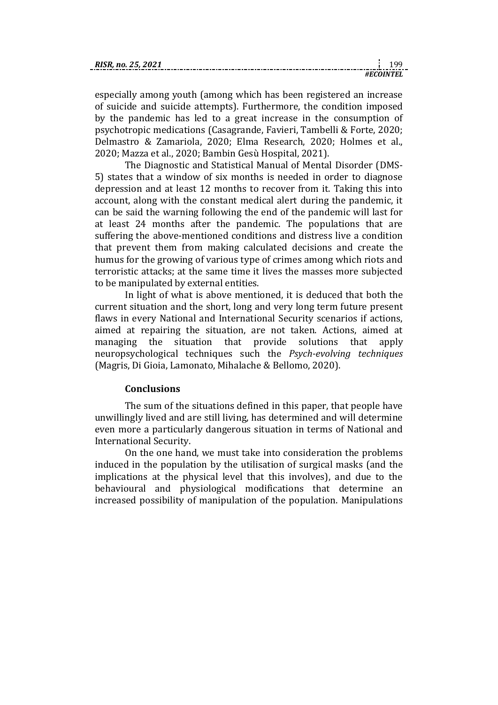|  |  |  |  | RISR, no. 25, 2021 |  |
|--|--|--|--|--------------------|--|
|  |  |  |  |                    |  |

| RIS |  |
|-----|--|
|     |  |

especially among youth (among which has been registered an increase of suicide and suicide attempts). Furthermore, the condition imposed by the pandemic has led to a great increase in the consumption of psychotropic medications (Casagrande, Favieri, Tambelli & Forte, 2020; Delmastro & Zamariola, 2020; Elma Research, 2020; Holmes et al., 2020; Mazza et al., 2020; Bambin Gesù Hospital, 2021).

The Diagnostic and Statistical Manual of Mental Disorder (DMS-5) states that a window of six months is needed in order to diagnose depression and at least 12 months to recover from it. Taking this into account, along with the constant medical alert during the pandemic, it can be said the warning following the end of the pandemic will last for at least 24 months after the pandemic. The populations that are suffering the above-mentioned conditions and distress live a condition that prevent them from making calculated decisions and create the humus for the growing of various type of crimes among which riots and terroristic attacks; at the same time it lives the masses more subjected to be manipulated by external entities.

In light of what is above mentioned, it is deduced that both the current situation and the short, long and very long term future present flaws in every National and International Security scenarios if actions, aimed at repairing the situation, are not taken. Actions, aimed at managing the situation that provide solutions that apply neuropsychological techniques such the *Psych-evolving techniques* (Magris, Di Gioia, Lamonato, Mihalache & Bellomo, 2020).

#### **Conclusions**

The sum of the situations defined in this paper, that people have unwillingly lived and are still living, has determined and will determine even more a particularly dangerous situation in terms of National and International Security.

On the one hand, we must take into consideration the problems induced in the population by the utilisation of surgical masks (and the implications at the physical level that this involves), and due to the behavioural and physiological modifications that determine an increased possibility of manipulation of the population. Manipulations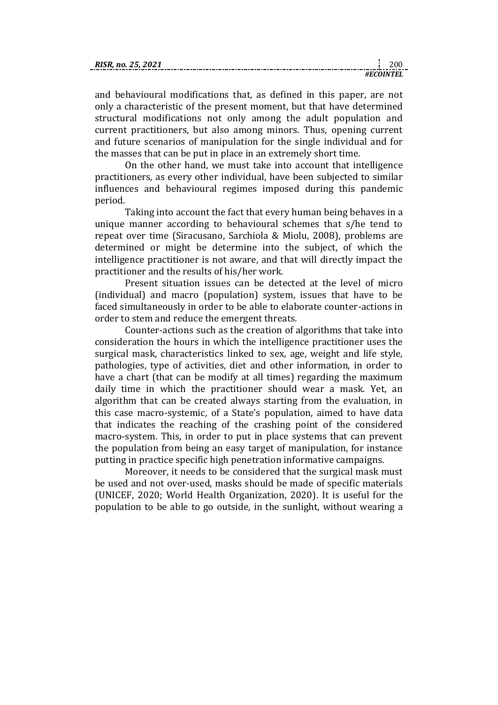| RISR. no.<br>25 |  |
|-----------------|--|
|                 |  |

and behavioural modifications that, as defined in this paper, are not only a characteristic of the present moment, but that have determined structural modifications not only among the adult population and current practitioners, but also among minors. Thus, opening current and future scenarios of manipulation for the single individual and for the masses that can be put in place in an extremely short time.

On the other hand, we must take into account that intelligence practitioners, as every other individual, have been subjected to similar influences and behavioural regimes imposed during this pandemic period.

Taking into account the fact that every human being behaves in a unique manner according to behavioural schemes that s/he tend to repeat over time (Siracusano, Sarchiola & Miolu, 2008), problems are determined or might be determine into the subject, of which the intelligence practitioner is not aware, and that will directly impact the practitioner and the results of his/her work.

Present situation issues can be detected at the level of micro (individual) and macro (population) system, issues that have to be faced simultaneously in order to be able to elaborate counter-actions in order to stem and reduce the emergent threats.

Counter-actions such as the creation of algorithms that take into consideration the hours in which the intelligence practitioner uses the surgical mask, characteristics linked to sex, age, weight and life style, pathologies, type of activities, diet and other information, in order to have a chart (that can be modify at all times) regarding the maximum daily time in which the practitioner should wear a mask. Yet, an algorithm that can be created always starting from the evaluation, in this case macro-systemic, of a State's population, aimed to have data that indicates the reaching of the crashing point of the considered macro-system. This, in order to put in place systems that can prevent the population from being an easy target of manipulation, for instance putting in practice specific high penetration informative campaigns.

Moreover, it needs to be considered that the surgical mask must be used and not over-used, masks should be made of specific materials (UNICEF, 2020; World Health Organization, 2020). It is useful for the population to be able to go outside, in the sunlight, without wearing a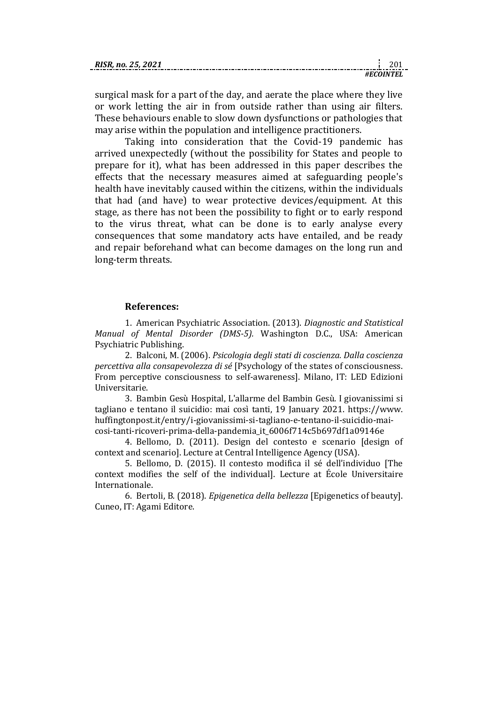| . no. 25. 2021<br><b>RISR.</b> |  |
|--------------------------------|--|
|                                |  |

surgical mask for a part of the day, and aerate the place where they live or work letting the air in from outside rather than using air filters. These behaviours enable to slow down dysfunctions or pathologies that may arise within the population and intelligence practitioners.

Taking into consideration that the Covid-19 pandemic has arrived unexpectedly (without the possibility for States and people to prepare for it), what has been addressed in this paper describes the effects that the necessary measures aimed at safeguarding people's health have inevitably caused within the citizens, within the individuals that had (and have) to wear protective devices/equipment. At this stage, as there has not been the possibility to fight or to early respond to the virus threat, what can be done is to early analyse every consequences that some mandatory acts have entailed, and be ready and repair beforehand what can become damages on the long run and long-term threats.

### **References:**

1. American Psychiatric Association. (2013). *Diagnostic and Statistical Manual of Mental Disorder (DMS-5).* Washington D.C., USA: American Psychiatric Publishing.

2. Balconi, M. (2006). *Psicologia degli stati di coscienza. Dalla coscienza percettiva alla consapevolezza di sé* [Psychology of the states of consciousness. From perceptive consciousness to self-awareness]. Milano, IT: LED Edizioni Universitarie.

3. Bambin Gesù Hospital, L'allarme del Bambin Gesù. I giovanissimi si tagliano e tentano il suicidio: mai così tanti, 19 January 2021. [https://www.](https://www.huffingtonpost.it/entry/i-giovanissimi-si-tagliano-e-tentano-il-suicidio-mai-cosi-tanti-ricoveri-prima-della-pandemia_it_6006f714c5b697df1a09146e) [huffingtonpost.it/entry/i-giovanissimi-si-tagliano-e-tentano-il-suicidio-mai](https://www.huffingtonpost.it/entry/i-giovanissimi-si-tagliano-e-tentano-il-suicidio-mai-cosi-tanti-ricoveri-prima-della-pandemia_it_6006f714c5b697df1a09146e)[cosi-tanti-ricoveri-prima-della-pandemia\\_it\\_6006f714c5b697df1a09146e](https://www.huffingtonpost.it/entry/i-giovanissimi-si-tagliano-e-tentano-il-suicidio-mai-cosi-tanti-ricoveri-prima-della-pandemia_it_6006f714c5b697df1a09146e)

4. Bellomo, D. (2011). Design del contesto e scenario [design of context and scenario]. Lecture at Central Intelligence Agency (USA).

5. Bellomo, D. (2015). Il contesto modifica il sé dell'individuo [The context modifies the self of the individual]. Lecture at École Universitaire Internationale.

6. Bertoli, B. (2018). *Epigenetica della bellezza* [Epigenetics of beauty]. Cuneo, IT: Agami Editore.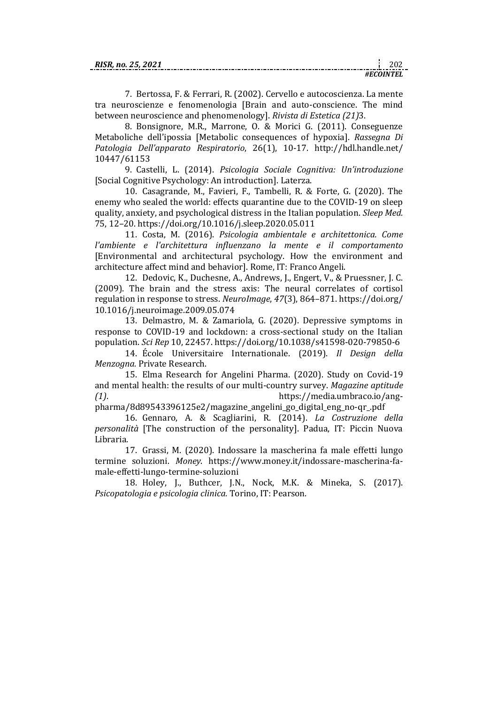7. Bertossa, F. & Ferrari, R. (2002). Cervello e autocoscienza. La mente tra neuroscienze e fenomenologia [Brain and auto-conscience. The mind between neuroscience and phenomenology]. *Rivista di Estetica (21)*3*.*

8. Bonsignore, M.R., Marrone, O. & Morici G. (2011). Conseguenze Metaboliche dell'ipossia [Metabolic consequences of hypoxia]. *Rassegna Di Patologia Dell'apparato Respiratorio*, 26(1), 10-17. [http://hdl.handle.net/](http://hdl.handle.net/10447/61153) [10447/61153](http://hdl.handle.net/10447/61153)

9. Castelli, L. (2014). *Psicologia Sociale Cognitiva: Un'introduzione*  [Social Cognitive Psychology: An introduction]. Laterza.

10. Casagrande, M., Favieri, F., Tambelli, R. & Forte, G. (2020). The enemy who sealed the world: effects quarantine due to the COVID-19 on sleep quality, anxiety, and psychological distress in the Italian population. *Sleep Med.* 75, 12–20.<https://doi.org/10.1016/j.sleep.2020.05.011>

11. Costa, M. (2016). *Psicologia ambientale e architettonica. Come l'ambiente e l'architettura influenzano la mente e il comportamento* [Environmental and architectural psychology. How the environment and architecture affect mind and behavior]. Rome, IT: Franco Angeli.

12. Dedovic, K., Duchesne, A., Andrews, J., Engert, V., & Pruessner, J. C. (2009). The brain and the stress axis: The neural correlates of cortisol regulation in response to stress. *NeuroImage*, *47*(3), 864–871[. https://doi.org/](https://doi.org/10.1016/j.neuroimage.2009.05.074) [10.1016/j.neuroimage.2009.05.074](https://doi.org/10.1016/j.neuroimage.2009.05.074)

13. Delmastro, M. & Zamariola, G. (2020). Depressive symptoms in response to COVID-19 and lockdown: a cross-sectional study on the Italian population. *Sci Rep* 10, 22457.<https://doi.org/10.1038/s41598-020-79850-6>

14. École Universitaire Internationale. (2019). *Il Design della Menzogna.* Private Research.

15. Elma Research for Angelini Pharma. (2020). Study on Covid-19 and mental health: the results of our multi-country survey. *Magazine aptitude (1)*. [https://media.umbraco.io/ang-](https://media.umbraco.io/ang-pharma/8d89543396125e2/magazine_angelini_go_digital_eng_no-qr_.pdf)

[pharma/8d89543396125e2/magazine\\_angelini\\_go\\_digital\\_eng\\_no-qr\\_.pdf](https://media.umbraco.io/ang-pharma/8d89543396125e2/magazine_angelini_go_digital_eng_no-qr_.pdf)

16. Gennaro, A. & Scagliarini, R. (2014). *La Costruzione della personalità* [The construction of the personality]. Padua, IT: Piccin Nuova Libraria.

17. Grassi, M. (2020). Indossare la mascherina fa male effetti lungo termine soluzioni. *Money*. [https://www.money.it/indossare-mascherina-fa](https://www.money.it/indossare-mascherina-fa-male-effetti-lungo-termine-soluzioni)[male-effetti-lungo-termine-soluzioni](https://www.money.it/indossare-mascherina-fa-male-effetti-lungo-termine-soluzioni)

18. Holey, J., Buthcer, J.N., Nock, M.K. & Mineka, S. (2017). *Psicopatologia e psicologia clinica.* Torino, IT: Pearson.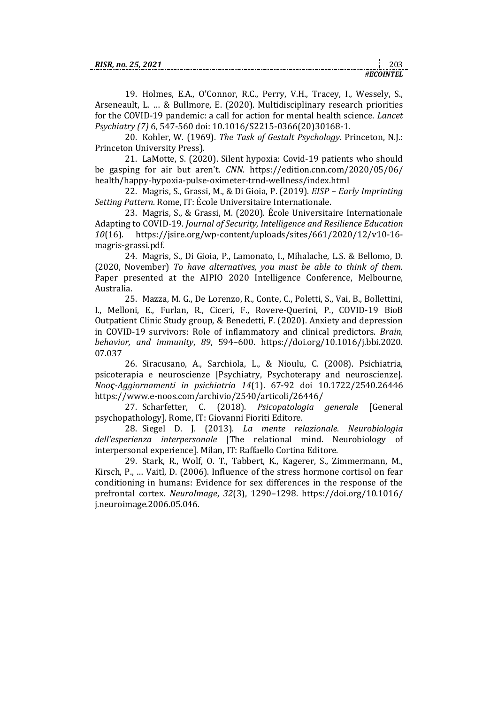*#ECOINTEL*

19. Holmes, E.A., O'Connor, R.C., Perry, V.H., Tracey, I., Wessely, S., Arseneault, L. … & Bullmore, E. (2020). Multidisciplinary research priorities for the COVID-19 pandemic: a call for action for mental health science. *Lancet Psychiatry (7)* 6, 547-560 doi: 10.1016/S2215-0366(20)30168-1.

20. Kohler, W. (1969). *The Task of Gestalt Psychology.* Princeton, N.J.: Princeton University Press).

21. LaMotte, S. (2020). Silent hypoxia: Covid-19 patients who should be gasping for air but aren't. *CNN*. [https://edition.cnn.com/2020/05/06/](https://edition.cnn.com/2020/05/06/health/happy-hypoxia-pulse-oximeter-trnd-wellness/index.html) [health/happy-hypoxia-pulse-oximeter-trnd-wellness/index.html](https://edition.cnn.com/2020/05/06/health/happy-hypoxia-pulse-oximeter-trnd-wellness/index.html)

22. Magris, S., Grassi, M., & Di Gioia, P. (2019). *EISP – Early Imprinting Setting Pattern.* Rome, IT: École Universitaire Internationale.

23. Magris, S., & Grassi, M. (2020). École Universitaire Internationale Adapting to COVID-19. *Journal of Security, Intelligence and Resilience Education 10*(16). [https://jsire.org/wp-content/uploads/sites/661/2020/12/v10-16](https://jsire.org/wp-content/uploads/sites/661/2020/12/v10-16-magris-grassi.pdf) [magris-grassi.pdf.](https://jsire.org/wp-content/uploads/sites/661/2020/12/v10-16-magris-grassi.pdf)

24. Magris, S., Di Gioia, P., Lamonato, I., Mihalache, L.S. & Bellomo, D. (2020, November) *To have alternatives, you must be able to think of them.* Paper presented at the AIPIO 2020 Intelligence Conference, Melbourne, Australia.

25. Mazza, M. G., De Lorenzo, R., Conte, C., Poletti, S., Vai, B., Bollettini, I., Melloni, E., Furlan, R., Ciceri, F., Rovere-Querini, P., COVID-19 BioB Outpatient Clinic Study group, & Benedetti, F. (2020). Anxiety and depression in COVID-19 survivors: Role of inflammatory and clinical predictors. *Brain, behavior, and immunity*, *89*, 594–600. [https://doi.org/10.1016/j.bbi.2020.](https://doi.org/10.1016/j.bbi.2020.07.037) [07.037](https://doi.org/10.1016/j.bbi.2020.07.037)

26. Siracusano, A., Sarchiola, L., & Nioulu, C. (2008). Psichiatria, psicoterapia e neuroscienze [Psychiatry, Psychoterapy and neuroscienze]. *Nooς-Aggiornamenti in psichiatria 14*(1). 67-92 doi 10.1722/2540.26446 <https://www.e-noos.com/archivio/2540/articoli/26446/>

27. Scharfetter, C. (2018). *Psicopatologia generale* [General psychopathology]*.* Rome, IT: Giovanni Fioriti Editore.

28. Siegel D. J. (2013). *La mente relazionale. Neurobiologia dell'esperienza interpersonale* [The relational mind. Neurobiology of interpersonal experience]. Milan, IT: Raffaello Cortina Editore.

29. Stark, R., Wolf, O. T., Tabbert, K., Kagerer, S., Zimmermann, M., Kirsch, P., … Vaitl, D. (2006). Influence of the stress hormone cortisol on fear conditioning in humans: Evidence for sex differences in the response of the prefrontal cortex. *NeuroImage*, *32*(3), 1290–1298. [https://doi.org/10.1016/](https://doi.org/10.1016/j.neuroimage.2006.05.046) [j.neuroimage.2006.05.046.](https://doi.org/10.1016/j.neuroimage.2006.05.046)